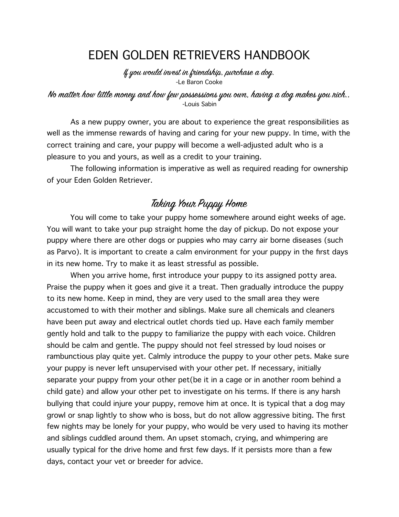# EDEN GOLDEN RETRIEVERS HANDBOOK

If you would invest in friendship, purchase a dog. -Le Baron Cooke

#### No matter how little money and how few possessions you own, having a dog makes you nich.. -Louis Sabin

As a new puppy owner, you are about to experience the great responsibilities as well as the immense rewards of having and caring for your new puppy. In time, with the correct training and care, your puppy will become a well-adjusted adult who is a pleasure to you and yours, as well as a credit to your training.

The following information is imperative as well as required reading for ownership of your Eden Golden Retriever.

## Taking Your Puppy Home

 You will come to take your puppy home somewhere around eight weeks of age. You will want to take your pup straight home the day of pickup. Do not expose your puppy where there are other dogs or puppies who may carry air borne diseases (such as Parvo). It is important to create a calm environment for your puppy in the first days in its new home. Try to make it as least stressful as possible.

When you arrive home, first introduce your puppy to its assigned potty area. Praise the puppy when it goes and give it a treat. Then gradually introduce the puppy to its new home. Keep in mind, they are very used to the small area they were accustomed to with their mother and siblings. Make sure all chemicals and cleaners have been put away and electrical outlet chords tied up. Have each family member gently hold and talk to the puppy to familiarize the puppy with each voice. Children should be calm and gentle. The puppy should not feel stressed by loud noises or rambunctious play quite yet. Calmly introduce the puppy to your other pets. Make sure your puppy is never left unsupervised with your other pet. If necessary, initially separate your puppy from your other pet(be it in a cage or in another room behind a child gate) and allow your other pet to investigate on his terms. If there is any harsh bullying that could injure your puppy, remove him at once. It is typical that a dog may growl or snap lightly to show who is boss, but do not allow aggressive biting. The first few nights may be lonely for your puppy, who would be very used to having its mother and siblings cuddled around them. An upset stomach, crying, and whimpering are usually typical for the drive home and first few days. If it persists more than a few days, contact your vet or breeder for advice.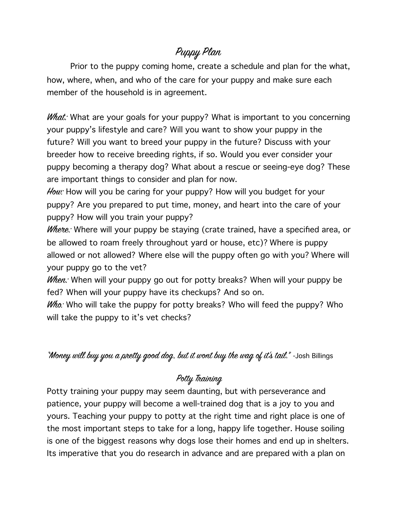# Puppy Plan

Prior to the puppy coming home, create a schedule and plan for the what, how, where, when, and who of the care for your puppy and make sure each member of the household is in agreement.

*What:* What are your goals for your puppy? What is important to you concerning your puppy's lifestyle and care? Will you want to show your puppy in the future? Will you want to breed your puppy in the future? Discuss with your breeder how to receive breeding rights, if so. Would you ever consider your puppy becoming a therapy dog? What about a rescue or seeing-eye dog? These are important things to consider and plan for now.

How: How will you be caring for your puppy? How will you budget for your puppy? Are you prepared to put time, money, and heart into the care of your puppy? How will you train your puppy?

Where: Where will your puppy be staying (crate trained, have a specified area, or be allowed to roam freely throughout yard or house, etc)? Where is puppy allowed or not allowed? Where else will the puppy often go with you? Where will your puppy go to the vet?

When: When will your puppy go out for potty breaks? When will your puppy be fed? When will your puppy have its checkups? And so on.

 $W$ ho: Who will take the puppy for potty breaks? Who will feed the puppy? Who will take the puppy to it's vet checks?

"Money will buy you a pretty good dog, but it wont buy the wag of it's tail." - Josh Billings

## Potty Training

Potty training your puppy may seem daunting, but with perseverance and patience, your puppy will become a well-trained dog that is a joy to you and yours. Teaching your puppy to potty at the right time and right place is one of the most important steps to take for a long, happy life together. House soiling is one of the biggest reasons why dogs lose their homes and end up in shelters. Its imperative that you do research in advance and are prepared with a plan on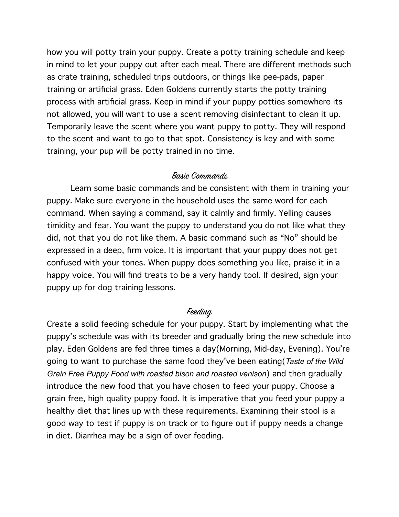how you will potty train your puppy. Create a potty training schedule and keep in mind to let your puppy out after each meal. There are different methods such as crate training, scheduled trips outdoors, or things like pee-pads, paper training or artificial grass. Eden Goldens currently starts the potty training process with artificial grass. Keep in mind if your puppy potties somewhere its not allowed, you will want to use a scent removing disinfectant to clean it up. Temporarily leave the scent where you want puppy to potty. They will respond to the scent and want to go to that spot. Consistency is key and with some training, your pup will be potty trained in no time.

#### Basic Commands

Learn some basic commands and be consistent with them in training your puppy. Make sure everyone in the household uses the same word for each command. When saying a command, say it calmly and firmly. Yelling causes timidity and fear. You want the puppy to understand you do not like what they did, not that you do not like them. A basic command such as "No" should be expressed in a deep, firm voice. It is important that your puppy does not get confused with your tones. When puppy does something you like, praise it in a happy voice. You will find treats to be a very handy tool. If desired, sign your puppy up for dog training lessons.

### Feeding

Create a solid feeding schedule for your puppy. Start by implementing what the puppy's schedule was with its breeder and gradually bring the new schedule into play. Eden Goldens are fed three times a day(Morning, Mid-day, Evening). You're going to want to purchase the same food they've been eating(*Taste of the Wild Grain Free Puppy Food with roasted bison and roasted venison*) and then gradually introduce the new food that you have chosen to feed your puppy. Choose a grain free, high quality puppy food. It is imperative that you feed your puppy a healthy diet that lines up with these requirements. Examining their stool is a good way to test if puppy is on track or to figure out if puppy needs a change in diet. Diarrhea may be a sign of over feeding.